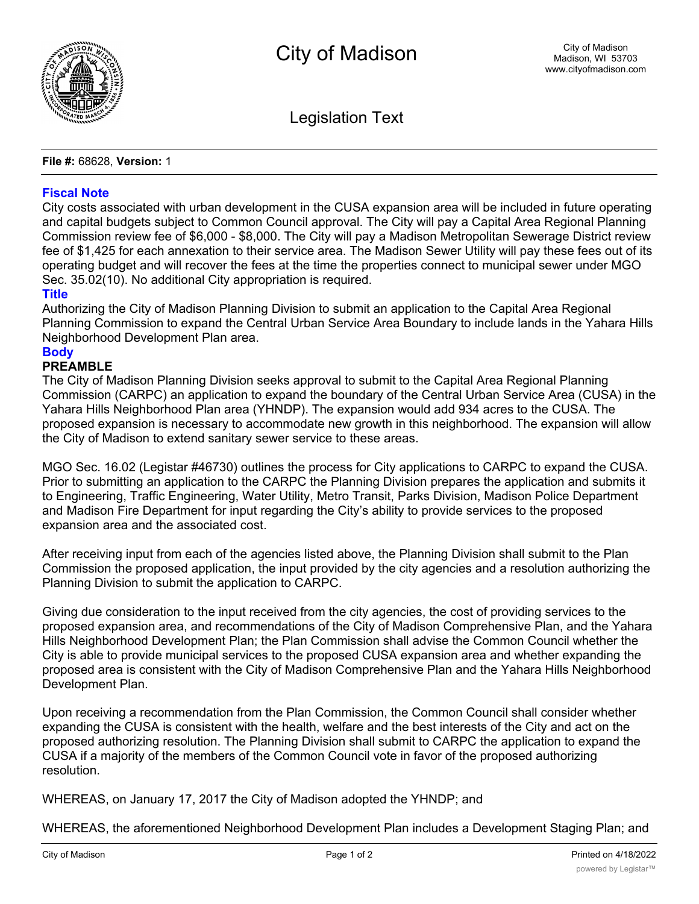

Legislation Text

**File #:** 68628, **Version:** 1

## **Fiscal Note**

City costs associated with urban development in the CUSA expansion area will be included in future operating and capital budgets subject to Common Council approval. The City will pay a Capital Area Regional Planning Commission review fee of \$6,000 - \$8,000. The City will pay a Madison Metropolitan Sewerage District review fee of \$1,425 for each annexation to their service area. The Madison Sewer Utility will pay these fees out of its operating budget and will recover the fees at the time the properties connect to municipal sewer under MGO Sec. 35.02(10). No additional City appropriation is required.

## **Title**

Authorizing the City of Madison Planning Division to submit an application to the Capital Area Regional Planning Commission to expand the Central Urban Service Area Boundary to include lands in the Yahara Hills Neighborhood Development Plan area.

## **Body**

## **PREAMBLE**

The City of Madison Planning Division seeks approval to submit to the Capital Area Regional Planning Commission (CARPC) an application to expand the boundary of the Central Urban Service Area (CUSA) in the Yahara Hills Neighborhood Plan area (YHNDP). The expansion would add 934 acres to the CUSA. The proposed expansion is necessary to accommodate new growth in this neighborhood. The expansion will allow the City of Madison to extend sanitary sewer service to these areas.

MGO Sec. 16.02 (Legistar #46730) outlines the process for City applications to CARPC to expand the CUSA. Prior to submitting an application to the CARPC the Planning Division prepares the application and submits it to Engineering, Traffic Engineering, Water Utility, Metro Transit, Parks Division, Madison Police Department and Madison Fire Department for input regarding the City's ability to provide services to the proposed expansion area and the associated cost.

After receiving input from each of the agencies listed above, the Planning Division shall submit to the Plan Commission the proposed application, the input provided by the city agencies and a resolution authorizing the Planning Division to submit the application to CARPC.

Giving due consideration to the input received from the city agencies, the cost of providing services to the proposed expansion area, and recommendations of the City of Madison Comprehensive Plan, and the Yahara Hills Neighborhood Development Plan; the Plan Commission shall advise the Common Council whether the City is able to provide municipal services to the proposed CUSA expansion area and whether expanding the proposed area is consistent with the City of Madison Comprehensive Plan and the Yahara Hills Neighborhood Development Plan.

Upon receiving a recommendation from the Plan Commission, the Common Council shall consider whether expanding the CUSA is consistent with the health, welfare and the best interests of the City and act on the proposed authorizing resolution. The Planning Division shall submit to CARPC the application to expand the CUSA if a majority of the members of the Common Council vote in favor of the proposed authorizing resolution.

WHEREAS, on January 17, 2017 the City of Madison adopted the YHNDP; and

WHEREAS, the aforementioned Neighborhood Development Plan includes a Development Staging Plan; and